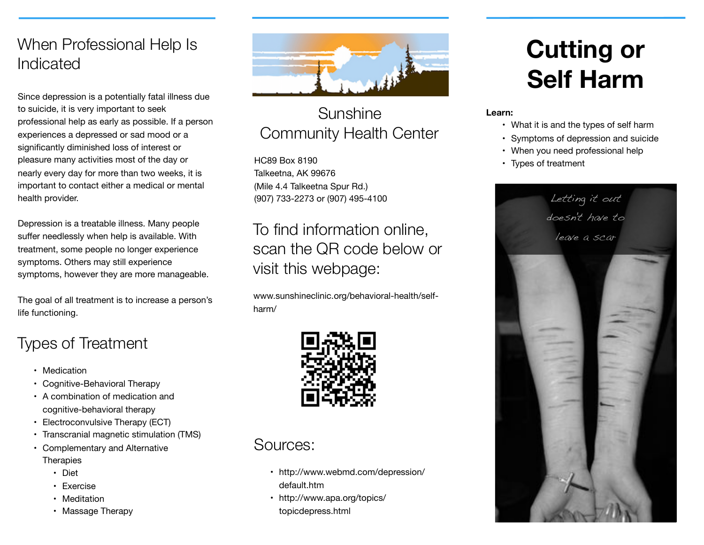#### When Professional Help Is Indicated

Since depression is a potentially fatal illness due to suicide, it is very important to seek professional help as early as possible. If a person experiences a depressed or sad mood or a significantly diminished loss of interest or pleasure many activities most of the day or nearly every day for more than two weeks, it is important to contact either a medical or mental health provider.

Depression is a treatable illness. Many people suffer needlessly when help is available. With treatment, some people no longer experience symptoms. Others may still experience symptoms, however they are more manageable.

The goal of all treatment is to increase a person's life functioning.

## Types of Treatment

- Medication
- Cognitive-Behavioral Therapy
- A combination of medication and cognitive-behavioral therapy
- Electroconvulsive Therapy (ECT)
- Transcranial magnetic stimulation (TMS)
- Complementary and Alternative **Therapies** 
	- Diet
	- Exercise
	- Meditation
	- Massage Therapy



## Sunshine Community Health Center

HC89 Box 8190 Talkeetna, AK 99676 (Mile 4.4 Talkeetna Spur Rd.) (907) 733-2273 or (907) 495-4100

## To find information online, scan the QR code below or visit this webpage:

www.sunshineclinic.org/behavioral-health/selfharm/



#### Sources:

- http://www.webmd.com/depression/ default.htm
- http://www.apa.org/topics/ topicdepress.html

# **Cutting or Self Harm**

#### **Learn:**

- What it is and the types of self harm
- Symptoms of depression and suicide
- When you need professional help
- Types of treatment